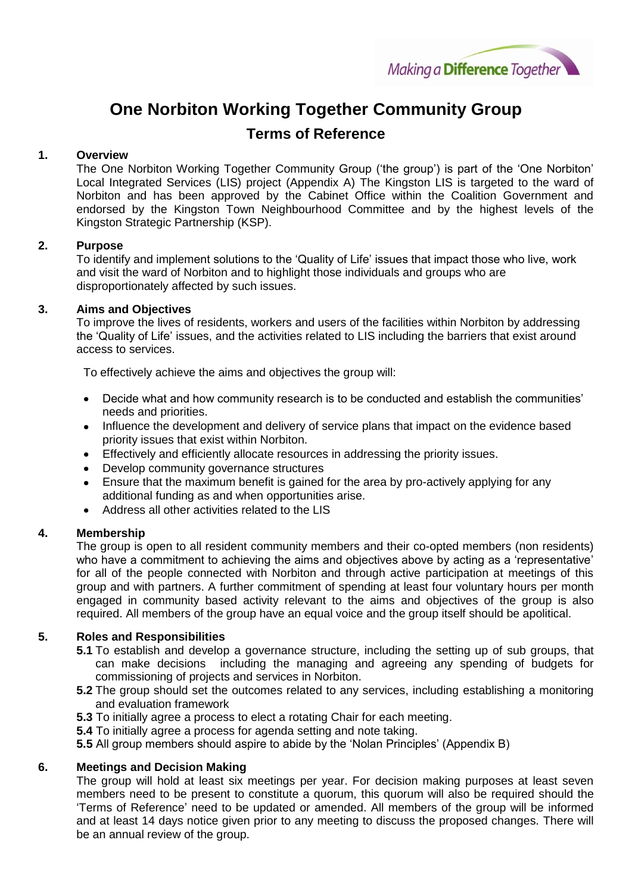

# **One Norbiton Working Together Community Group**

## **Terms of Reference**

## **1. Overview**

The One Norbiton Working Together Community Group ('the group') is part of the 'One Norbiton' Local Integrated Services (LIS) project (Appendix A) The Kingston LIS is targeted to the ward of Norbiton and has been approved by the Cabinet Office within the Coalition Government and endorsed by the Kingston Town Neighbourhood Committee and by the highest levels of the Kingston Strategic Partnership (KSP).

## **2. Purpose**

To identify and implement solutions to the 'Quality of Life' issues that impact those who live, work and visit the ward of Norbiton and to highlight those individuals and groups who are disproportionately affected by such issues.

## **3. Aims and Objectives**

To improve the lives of residents, workers and users of the facilities within Norbiton by addressing the 'Quality of Life' issues, and the activities related to LIS including the barriers that exist around access to services.

To effectively achieve the aims and objectives the group will:

- Decide what and how community research is to be conducted and establish the communities' needs and priorities.
- Influence the development and delivery of service plans that impact on the evidence based priority issues that exist within Norbiton.
- Effectively and efficiently allocate resources in addressing the priority issues.
- Develop community governance structures
- Ensure that the maximum benefit is gained for the area by pro-actively applying for any additional funding as and when opportunities arise.
- Address all other activities related to the LIS

## **4. Membership**

The group is open to all resident community members and their co-opted members (non residents) who have a commitment to achieving the aims and objectives above by acting as a 'representative' for all of the people connected with Norbiton and through active participation at meetings of this group and with partners. A further commitment of spending at least four voluntary hours per month engaged in community based activity relevant to the aims and objectives of the group is also required. All members of the group have an equal voice and the group itself should be apolitical.

## **5. Roles and Responsibilities**

- **5.1** To establish and develop a governance structure, including the setting up of sub groups, that can make decisions including the managing and agreeing any spending of budgets for commissioning of projects and services in Norbiton.
- **5.2** The group should set the outcomes related to any services, including establishing a monitoring and evaluation framework
- **5.3** To initially agree a process to elect a rotating Chair for each meeting.
- **5.4** To initially agree a process for agenda setting and note taking.

**5.5** All group members should aspire to abide by the 'Nolan Principles' (Appendix B)

## **6. Meetings and Decision Making**

The group will hold at least six meetings per year. For decision making purposes at least seven members need to be present to constitute a quorum, this quorum will also be required should the 'Terms of Reference' need to be updated or amended. All members of the group will be informed and at least 14 days notice given prior to any meeting to discuss the proposed changes. There will be an annual review of the group.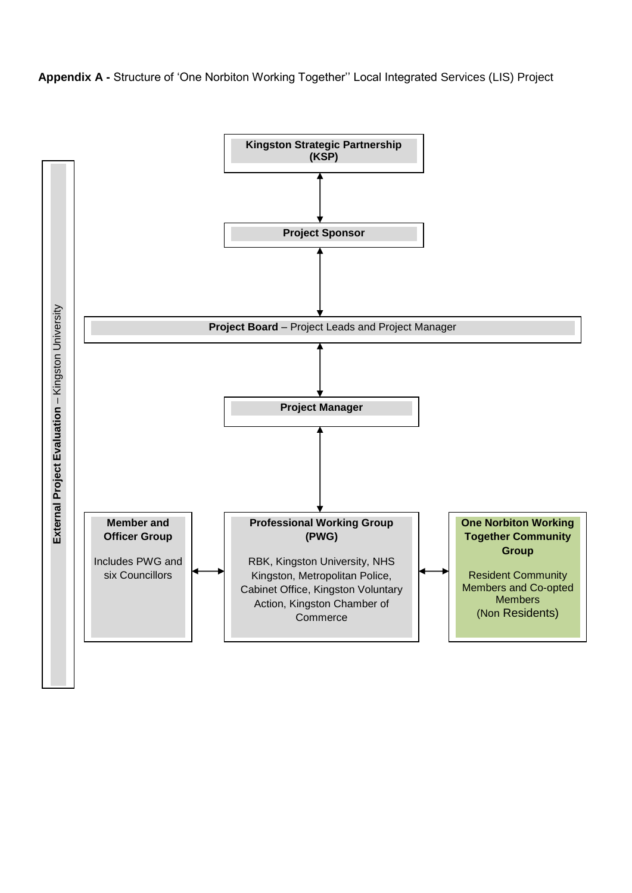**Appendix A -** Structure of 'One Norbiton Working Together'' Local Integrated Services (LIS) Project